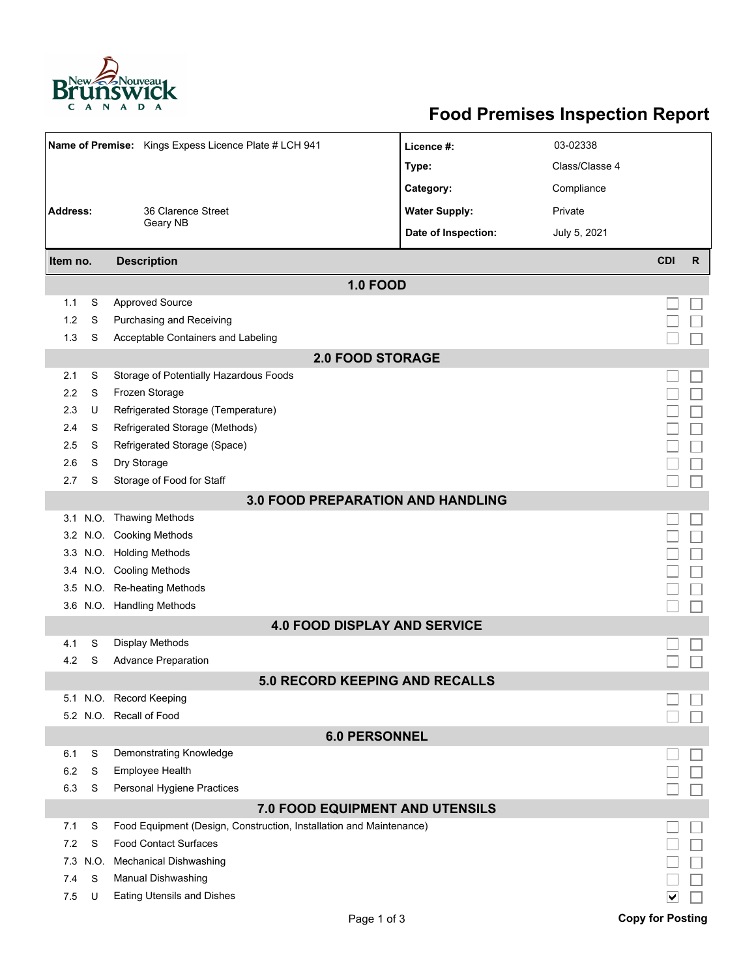

## **Food Premises Inspection Report**

| Name of Premise: Kings Expess Licence Plate # LCH 941 |      |                                                                     | Licence #:           | 03-02338       |                         |              |  |  |  |  |  |
|-------------------------------------------------------|------|---------------------------------------------------------------------|----------------------|----------------|-------------------------|--------------|--|--|--|--|--|
|                                                       |      |                                                                     | Type:                | Class/Classe 4 |                         |              |  |  |  |  |  |
|                                                       |      |                                                                     | Category:            | Compliance     |                         |              |  |  |  |  |  |
| <b>Address:</b>                                       |      | 36 Clarence Street                                                  | <b>Water Supply:</b> | Private        |                         |              |  |  |  |  |  |
|                                                       |      | Geary NB                                                            | Date of Inspection:  | July 5, 2021   |                         |              |  |  |  |  |  |
|                                                       |      |                                                                     |                      |                |                         |              |  |  |  |  |  |
| Item no.                                              |      | <b>Description</b>                                                  |                      |                | <b>CDI</b>              | $\mathsf{R}$ |  |  |  |  |  |
|                                                       |      | <b>1.0 FOOD</b>                                                     |                      |                |                         |              |  |  |  |  |  |
| 1.1                                                   | S    | <b>Approved Source</b>                                              |                      |                |                         |              |  |  |  |  |  |
| 1.2                                                   | S    | Purchasing and Receiving                                            |                      |                |                         |              |  |  |  |  |  |
| 1.3                                                   | S    | Acceptable Containers and Labeling                                  |                      |                |                         |              |  |  |  |  |  |
| <b>2.0 FOOD STORAGE</b>                               |      |                                                                     |                      |                |                         |              |  |  |  |  |  |
| 2.1                                                   | S    | Storage of Potentially Hazardous Foods                              |                      |                |                         |              |  |  |  |  |  |
| 2.2                                                   | S    | Frozen Storage                                                      |                      |                |                         |              |  |  |  |  |  |
| 2.3                                                   | U    | Refrigerated Storage (Temperature)                                  |                      |                |                         |              |  |  |  |  |  |
| 2.4                                                   | S    | Refrigerated Storage (Methods)                                      |                      |                |                         |              |  |  |  |  |  |
| 2.5                                                   | S    | Refrigerated Storage (Space)                                        |                      |                |                         |              |  |  |  |  |  |
| 2.6                                                   | S    | Dry Storage                                                         |                      |                |                         |              |  |  |  |  |  |
| 2.7                                                   | S    | Storage of Food for Staff                                           |                      |                |                         |              |  |  |  |  |  |
|                                                       |      | <b>3.0 FOOD PREPARATION AND HANDLING</b>                            |                      |                |                         |              |  |  |  |  |  |
|                                                       |      | 3.1 N.O. Thawing Methods                                            |                      |                |                         |              |  |  |  |  |  |
|                                                       |      | 3.2 N.O. Cooking Methods                                            |                      |                |                         |              |  |  |  |  |  |
|                                                       |      | 3.3 N.O. Holding Methods                                            |                      |                |                         |              |  |  |  |  |  |
|                                                       |      | 3.4 N.O. Cooling Methods                                            |                      |                |                         |              |  |  |  |  |  |
| 3.5                                                   |      | N.O. Re-heating Methods                                             |                      |                |                         |              |  |  |  |  |  |
|                                                       |      | 3.6 N.O. Handling Methods                                           |                      |                |                         |              |  |  |  |  |  |
|                                                       |      | <b>4.0 FOOD DISPLAY AND SERVICE</b>                                 |                      |                |                         |              |  |  |  |  |  |
| 4.1                                                   | S    | Display Methods                                                     |                      |                |                         |              |  |  |  |  |  |
| 4.2                                                   | S    | <b>Advance Preparation</b>                                          |                      |                |                         |              |  |  |  |  |  |
|                                                       |      | <b>5.0 RECORD KEEPING AND RECALLS</b>                               |                      |                |                         |              |  |  |  |  |  |
|                                                       |      | 5.1 N.O. Record Keeping                                             |                      |                |                         |              |  |  |  |  |  |
|                                                       |      | 5.2 N.O. Recall of Food                                             |                      |                |                         |              |  |  |  |  |  |
|                                                       |      | <b>6.0 PERSONNEL</b>                                                |                      |                |                         |              |  |  |  |  |  |
| 6.1                                                   | S    | Demonstrating Knowledge                                             |                      |                |                         |              |  |  |  |  |  |
| 6.2                                                   | S    | Employee Health                                                     |                      |                |                         |              |  |  |  |  |  |
| 6.3                                                   | S    | Personal Hygiene Practices                                          |                      |                |                         |              |  |  |  |  |  |
|                                                       |      | 7.0 FOOD EQUIPMENT AND UTENSILS                                     |                      |                |                         |              |  |  |  |  |  |
| 7.1                                                   | S    | Food Equipment (Design, Construction, Installation and Maintenance) |                      |                |                         |              |  |  |  |  |  |
| 7.2                                                   | S    | <b>Food Contact Surfaces</b>                                        |                      |                |                         |              |  |  |  |  |  |
| 7.3                                                   | N.O. | <b>Mechanical Dishwashing</b>                                       |                      |                |                         |              |  |  |  |  |  |
| 7.4                                                   | S    | Manual Dishwashing                                                  |                      |                |                         |              |  |  |  |  |  |
| 7.5                                                   | U    | Eating Utensils and Dishes                                          |                      |                |                         |              |  |  |  |  |  |
|                                                       |      | Page 1 of 3                                                         |                      |                | <b>Copy for Posting</b> |              |  |  |  |  |  |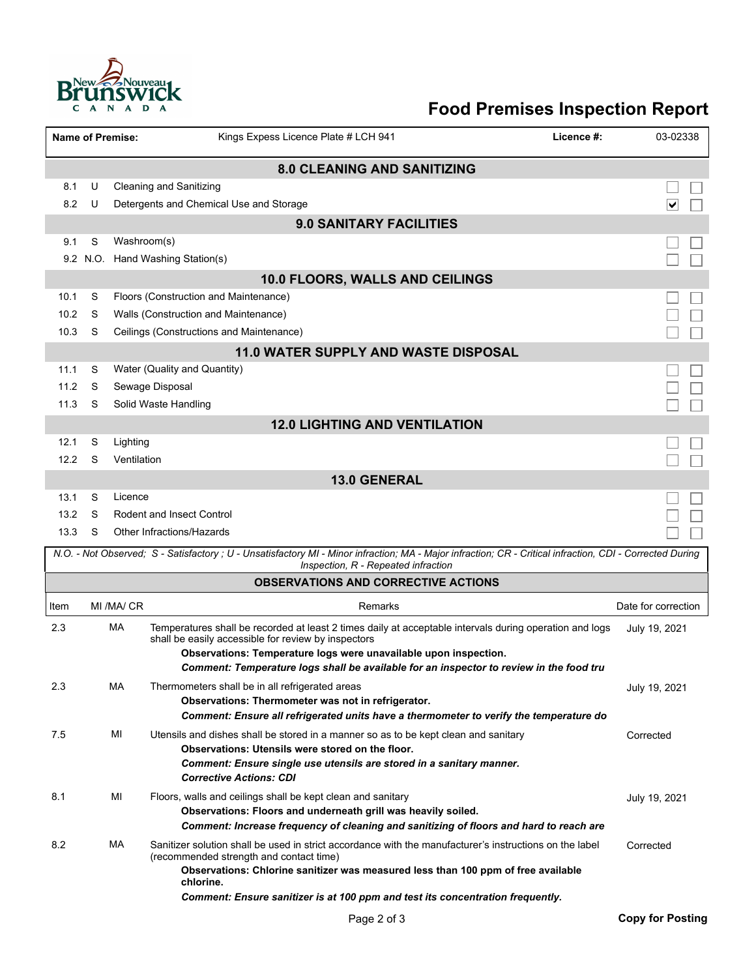

## **Food Premises Inspection Report**

| <b>Name of Premise:</b>                                                                                                                                                                          |                                |             | Kings Expess Licence Plate # LCH 941                                                                                                                           | Licence #: | 03-02338            |  |  |  |  |  |  |  |
|--------------------------------------------------------------------------------------------------------------------------------------------------------------------------------------------------|--------------------------------|-------------|----------------------------------------------------------------------------------------------------------------------------------------------------------------|------------|---------------------|--|--|--|--|--|--|--|
| <b>8.0 CLEANING AND SANITIZING</b>                                                                                                                                                               |                                |             |                                                                                                                                                                |            |                     |  |  |  |  |  |  |  |
| 8.1                                                                                                                                                                                              | U                              |             | <b>Cleaning and Sanitizing</b>                                                                                                                                 |            |                     |  |  |  |  |  |  |  |
| 8.2                                                                                                                                                                                              | U                              |             | Detergents and Chemical Use and Storage                                                                                                                        |            | ∨                   |  |  |  |  |  |  |  |
|                                                                                                                                                                                                  | <b>9.0 SANITARY FACILITIES</b> |             |                                                                                                                                                                |            |                     |  |  |  |  |  |  |  |
| 9.1                                                                                                                                                                                              | S                              | Washroom(s) |                                                                                                                                                                |            |                     |  |  |  |  |  |  |  |
|                                                                                                                                                                                                  | 9.2 N.O.                       |             | Hand Washing Station(s)                                                                                                                                        |            |                     |  |  |  |  |  |  |  |
| 10.0 FLOORS, WALLS AND CEILINGS                                                                                                                                                                  |                                |             |                                                                                                                                                                |            |                     |  |  |  |  |  |  |  |
| 10.1                                                                                                                                                                                             | S                              |             | Floors (Construction and Maintenance)                                                                                                                          |            |                     |  |  |  |  |  |  |  |
| 10.2                                                                                                                                                                                             | S                              |             | Walls (Construction and Maintenance)                                                                                                                           |            |                     |  |  |  |  |  |  |  |
| 10.3                                                                                                                                                                                             | S                              |             | Ceilings (Constructions and Maintenance)                                                                                                                       |            |                     |  |  |  |  |  |  |  |
| 11.0 WATER SUPPLY AND WASTE DISPOSAL                                                                                                                                                             |                                |             |                                                                                                                                                                |            |                     |  |  |  |  |  |  |  |
| 11.1                                                                                                                                                                                             | S                              |             | Water (Quality and Quantity)                                                                                                                                   |            |                     |  |  |  |  |  |  |  |
| 11.2                                                                                                                                                                                             | S                              |             | Sewage Disposal                                                                                                                                                |            |                     |  |  |  |  |  |  |  |
| 11.3                                                                                                                                                                                             | S                              |             | Solid Waste Handling                                                                                                                                           |            |                     |  |  |  |  |  |  |  |
| <b>12.0 LIGHTING AND VENTILATION</b>                                                                                                                                                             |                                |             |                                                                                                                                                                |            |                     |  |  |  |  |  |  |  |
| 12.1                                                                                                                                                                                             | S                              | Lighting    |                                                                                                                                                                |            |                     |  |  |  |  |  |  |  |
| 12.2                                                                                                                                                                                             | S                              | Ventilation |                                                                                                                                                                |            |                     |  |  |  |  |  |  |  |
| <b>13.0 GENERAL</b>                                                                                                                                                                              |                                |             |                                                                                                                                                                |            |                     |  |  |  |  |  |  |  |
| 13.1                                                                                                                                                                                             | S                              | Licence     |                                                                                                                                                                |            |                     |  |  |  |  |  |  |  |
| 13.2                                                                                                                                                                                             | S                              |             | <b>Rodent and Insect Control</b>                                                                                                                               |            |                     |  |  |  |  |  |  |  |
| 13.3                                                                                                                                                                                             | S                              |             | Other Infractions/Hazards                                                                                                                                      |            |                     |  |  |  |  |  |  |  |
| N.O. - Not Observed; S - Satisfactory ; U - Unsatisfactory MI - Minor infraction; MA - Major infraction; CR - Critical infraction, CDI - Corrected During<br>Inspection, R - Repeated infraction |                                |             |                                                                                                                                                                |            |                     |  |  |  |  |  |  |  |
|                                                                                                                                                                                                  |                                |             | <b>OBSERVATIONS AND CORRECTIVE ACTIONS</b>                                                                                                                     |            |                     |  |  |  |  |  |  |  |
| Item                                                                                                                                                                                             |                                | MI /MA/ CR  | Remarks                                                                                                                                                        |            | Date for correction |  |  |  |  |  |  |  |
| 2.3                                                                                                                                                                                              |                                | МA          | Temperatures shall be recorded at least 2 times daily at acceptable intervals during operation and logs<br>shall be easily accessible for review by inspectors |            | July 19, 2021       |  |  |  |  |  |  |  |
|                                                                                                                                                                                                  |                                |             | Observations: Temperature logs were unavailable upon inspection.                                                                                               |            |                     |  |  |  |  |  |  |  |
|                                                                                                                                                                                                  |                                |             | Comment: Temperature logs shall be available for an inspector to review in the food tru                                                                        |            |                     |  |  |  |  |  |  |  |
| 2.3                                                                                                                                                                                              |                                | МA          | Thermometers shall be in all refrigerated areas<br>Observations: Thermometer was not in refrigerator.                                                          |            | July 19, 2021       |  |  |  |  |  |  |  |
|                                                                                                                                                                                                  |                                |             | Comment: Ensure all refrigerated units have a thermometer to verify the temperature do                                                                         |            |                     |  |  |  |  |  |  |  |
| 7.5                                                                                                                                                                                              |                                | MI          | Utensils and dishes shall be stored in a manner so as to be kept clean and sanitary                                                                            |            | Corrected           |  |  |  |  |  |  |  |
|                                                                                                                                                                                                  |                                |             | Observations: Utensils were stored on the floor.                                                                                                               |            |                     |  |  |  |  |  |  |  |
|                                                                                                                                                                                                  |                                |             | Comment: Ensure single use utensils are stored in a sanitary manner.                                                                                           |            |                     |  |  |  |  |  |  |  |
|                                                                                                                                                                                                  |                                |             | <b>Corrective Actions: CDI</b>                                                                                                                                 |            |                     |  |  |  |  |  |  |  |
| 8.1                                                                                                                                                                                              |                                | ΜI          | Floors, walls and ceilings shall be kept clean and sanitary<br>Observations: Floors and underneath grill was heavily soiled.                                   |            | July 19, 2021       |  |  |  |  |  |  |  |
|                                                                                                                                                                                                  |                                |             | Comment: Increase frequency of cleaning and sanitizing of floors and hard to reach are                                                                         |            |                     |  |  |  |  |  |  |  |
| 8.2                                                                                                                                                                                              |                                | МA          | Sanitizer solution shall be used in strict accordance with the manufacturer's instructions on the label                                                        |            | Corrected           |  |  |  |  |  |  |  |
|                                                                                                                                                                                                  |                                |             | (recommended strength and contact time)                                                                                                                        |            |                     |  |  |  |  |  |  |  |
|                                                                                                                                                                                                  |                                |             | Observations: Chlorine sanitizer was measured less than 100 ppm of free available<br>chlorine.                                                                 |            |                     |  |  |  |  |  |  |  |
|                                                                                                                                                                                                  |                                |             | Comment: Ensure sanitizer is at 100 ppm and test its concentration frequently.                                                                                 |            |                     |  |  |  |  |  |  |  |
|                                                                                                                                                                                                  |                                |             |                                                                                                                                                                |            |                     |  |  |  |  |  |  |  |